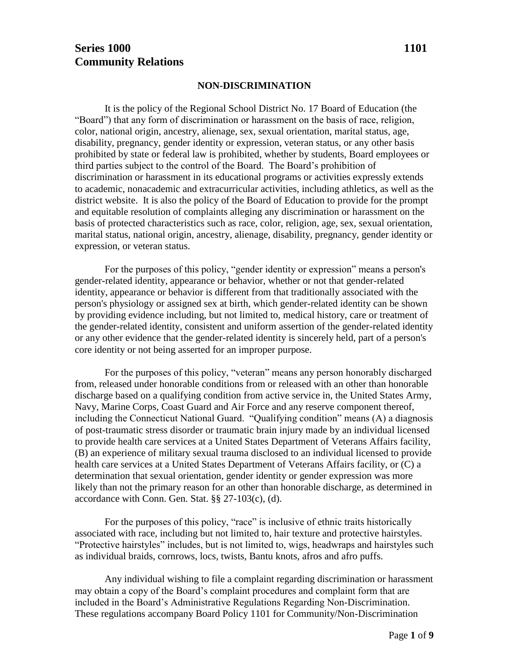# **Series 1000 1101 Community Relations**

#### **NON-DISCRIMINATION**

It is the policy of the Regional School District No. 17 Board of Education (the "Board") that any form of discrimination or harassment on the basis of race, religion, color, national origin, ancestry, alienage, sex, sexual orientation, marital status, age, disability, pregnancy, gender identity or expression, veteran status, or any other basis prohibited by state or federal law is prohibited, whether by students, Board employees or third parties subject to the control of the Board. The Board's prohibition of discrimination or harassment in its educational programs or activities expressly extends to academic, nonacademic and extracurricular activities, including athletics, as well as the district website. It is also the policy of the Board of Education to provide for the prompt and equitable resolution of complaints alleging any discrimination or harassment on the basis of protected characteristics such as race, color, religion, age, sex, sexual orientation, marital status, national origin, ancestry, alienage, disability, pregnancy, gender identity or expression, or veteran status.

For the purposes of this policy, "gender identity or expression" means a person's gender-related identity, appearance or behavior, whether or not that gender-related identity, appearance or behavior is different from that traditionally associated with the person's physiology or assigned sex at birth, which gender-related identity can be shown by providing evidence including, but not limited to, medical history, care or treatment of the gender-related identity, consistent and uniform assertion of the gender-related identity or any other evidence that the gender-related identity is sincerely held, part of a person's core identity or not being asserted for an improper purpose.

For the purposes of this policy, "veteran" means any person honorably discharged from, released under honorable conditions from or released with an other than honorable discharge based on a qualifying condition from active service in, the United States Army, Navy, Marine Corps, Coast Guard and Air Force and any reserve component thereof, including the Connecticut National Guard. "Qualifying condition" means (A) a diagnosis of post-traumatic stress disorder or traumatic brain injury made by an individual licensed to provide health care services at a United States Department of Veterans Affairs facility, (B) an experience of military sexual trauma disclosed to an individual licensed to provide health care services at a United States Department of Veterans Affairs facility, or (C) a determination that sexual orientation, gender identity or gender expression was more likely than not the primary reason for an other than honorable discharge, as determined in accordance with Conn. Gen. Stat. §§ 27-103(c), (d).

For the purposes of this policy, "race" is inclusive of ethnic traits historically associated with race, including but not limited to, hair texture and protective hairstyles. "Protective hairstyles" includes, but is not limited to, wigs, headwraps and hairstyles such as individual braids, cornrows, locs, twists, Bantu knots, afros and afro puffs.

Any individual wishing to file a complaint regarding discrimination or harassment may obtain a copy of the Board's complaint procedures and complaint form that are included in the Board's Administrative Regulations Regarding Non-Discrimination. These regulations accompany Board Policy 1101 for Community/Non-Discrimination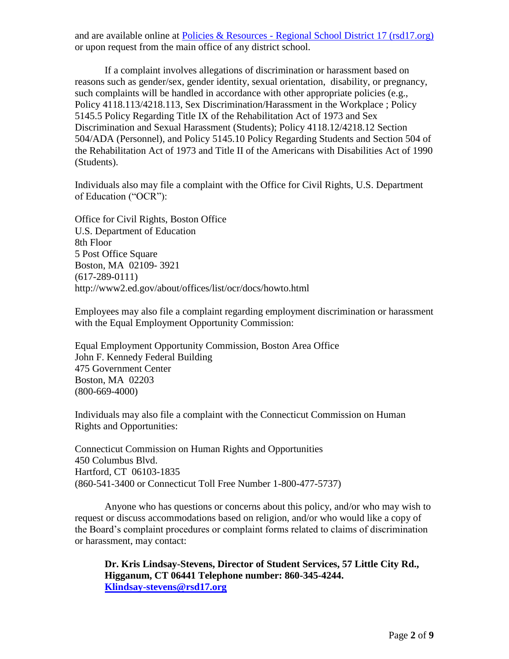and are available online at Policies & Resources - [Regional School District 17 \(rsd17.org\)](https://www.rsd17.org/district/board-of-education/policies-resources) or upon request from the main office of any district school.

If a complaint involves allegations of discrimination or harassment based on reasons such as gender/sex, gender identity, sexual orientation, disability, or pregnancy, such complaints will be handled in accordance with other appropriate policies (e.g., Policy 4118.113/4218.113, Sex Discrimination/Harassment in the Workplace ; Policy 5145.5 Policy Regarding Title IX of the Rehabilitation Act of 1973 and Sex Discrimination and Sexual Harassment (Students); Policy 4118.12/4218.12 Section 504/ADA (Personnel), and Policy 5145.10 Policy Regarding Students and Section 504 of the Rehabilitation Act of 1973 and Title II of the Americans with Disabilities Act of 1990 (Students).

Individuals also may file a complaint with the Office for Civil Rights, U.S. Department of Education ("OCR"):

Office for Civil Rights, Boston Office U.S. Department of Education 8th Floor 5 Post Office Square Boston, MA 02109- 3921 (617-289-0111) http://www2.ed.gov/about/offices/list/ocr/docs/howto.html

Employees may also file a complaint regarding employment discrimination or harassment with the Equal Employment Opportunity Commission:

Equal Employment Opportunity Commission, Boston Area Office John F. Kennedy Federal Building 475 Government Center Boston, MA 02203 (800-669-4000)

Individuals may also file a complaint with the Connecticut Commission on Human Rights and Opportunities:

Connecticut Commission on Human Rights and Opportunities 450 Columbus Blvd. Hartford, CT 06103-1835 (860-541-3400 or Connecticut Toll Free Number 1-800-477-5737)

Anyone who has questions or concerns about this policy, and/or who may wish to request or discuss accommodations based on religion, and/or who would like a copy of the Board's complaint procedures or complaint forms related to claims of discrimination or harassment, may contact:

**Dr. Kris Lindsay-Stevens, Director of Student Services, 57 Little City Rd., Higganum, CT 06441 Telephone number: 860-345-4244. [Klindsay-stevens@rsd17.org](mailto:Klindsay-stevens@rsd17.org)**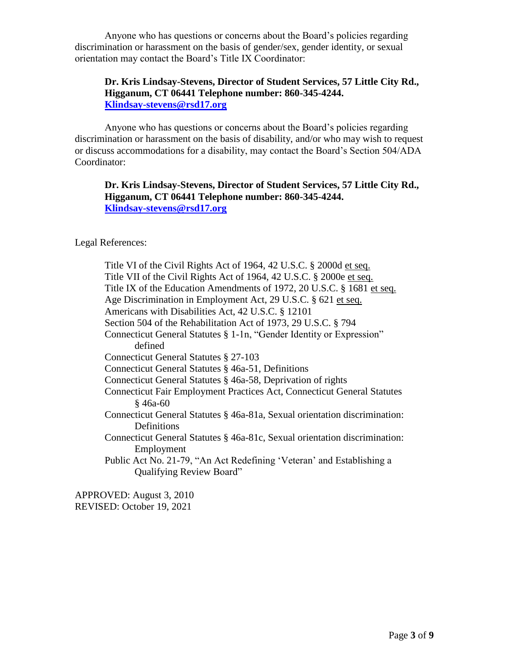Anyone who has questions or concerns about the Board's policies regarding discrimination or harassment on the basis of gender/sex, gender identity, or sexual orientation may contact the Board's Title IX Coordinator:

### **Dr. Kris Lindsay-Stevens, Director of Student Services, 57 Little City Rd., Higganum, CT 06441 Telephone number: 860-345-4244. [Klindsay-stevens@rsd17.org](mailto:Klindsay-stevens@rsd17.org)**

Anyone who has questions or concerns about the Board's policies regarding discrimination or harassment on the basis of disability, and/or who may wish to request or discuss accommodations for a disability, may contact the Board's Section 504/ADA Coordinator:

### **Dr. Kris Lindsay-Stevens, Director of Student Services, 57 Little City Rd., Higganum, CT 06441 Telephone number: 860-345-4244. [Klindsay-stevens@rsd17.org](mailto:Klindsay-stevens@rsd17.org)**

Legal References:

Title VI of the Civil Rights Act of 1964, 42 U.S.C. § 2000d et seq. Title VII of the Civil Rights Act of 1964, 42 U.S.C. § 2000e et seq. Title IX of the Education Amendments of 1972, 20 U.S.C. § 1681 et seq. Age Discrimination in Employment Act, 29 U.S.C. § 621 et seq. Americans with Disabilities Act, 42 U.S.C. § 12101 Section 504 of the Rehabilitation Act of 1973, 29 U.S.C. § 794 Connecticut General Statutes § 1-1n, "Gender Identity or Expression" defined Connecticut General Statutes § 27-103 Connecticut General Statutes § 46a-51, Definitions Connecticut General Statutes § 46a-58, Deprivation of rights Connecticut Fair Employment Practices Act, Connecticut General Statutes § 46a-60 Connecticut General Statutes § 46a-81a, Sexual orientation discrimination: Definitions Connecticut General Statutes § 46a-81c, Sexual orientation discrimination: Employment Public Act No. 21-79, "An Act Redefining 'Veteran' and Establishing a Qualifying Review Board"

APPROVED: August 3, 2010 REVISED: October 19, 2021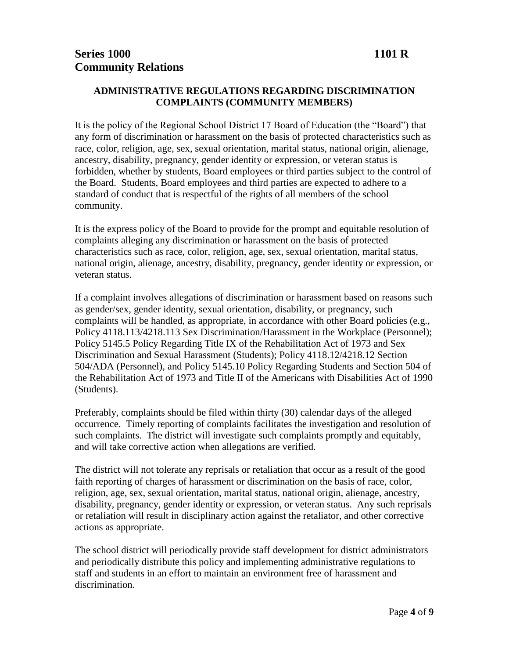## **ADMINISTRATIVE REGULATIONS REGARDING DISCRIMINATION COMPLAINTS (COMMUNITY MEMBERS)**

It is the policy of the Regional School District 17 Board of Education (the "Board") that any form of discrimination or harassment on the basis of protected characteristics such as race, color, religion, age, sex, sexual orientation, marital status, national origin, alienage, ancestry, disability, pregnancy, gender identity or expression, or veteran status is forbidden, whether by students, Board employees or third parties subject to the control of the Board. Students, Board employees and third parties are expected to adhere to a standard of conduct that is respectful of the rights of all members of the school community.

It is the express policy of the Board to provide for the prompt and equitable resolution of complaints alleging any discrimination or harassment on the basis of protected characteristics such as race, color, religion, age, sex, sexual orientation, marital status, national origin, alienage, ancestry, disability, pregnancy, gender identity or expression, or veteran status.

If a complaint involves allegations of discrimination or harassment based on reasons such as gender/sex, gender identity, sexual orientation, disability, or pregnancy, such complaints will be handled, as appropriate, in accordance with other Board policies (e.g., Policy 4118.113/4218.113 Sex Discrimination/Harassment in the Workplace (Personnel); Policy 5145.5 Policy Regarding Title IX of the Rehabilitation Act of 1973 and Sex Discrimination and Sexual Harassment (Students); Policy 4118.12/4218.12 Section 504/ADA (Personnel), and Policy 5145.10 Policy Regarding Students and Section 504 of the Rehabilitation Act of 1973 and Title II of the Americans with Disabilities Act of 1990 (Students).

Preferably, complaints should be filed within thirty (30) calendar days of the alleged occurrence. Timely reporting of complaints facilitates the investigation and resolution of such complaints. The district will investigate such complaints promptly and equitably, and will take corrective action when allegations are verified.

The district will not tolerate any reprisals or retaliation that occur as a result of the good faith reporting of charges of harassment or discrimination on the basis of race, color, religion, age, sex, sexual orientation, marital status, national origin, alienage, ancestry, disability, pregnancy, gender identity or expression, or veteran status. Any such reprisals or retaliation will result in disciplinary action against the retaliator, and other corrective actions as appropriate.

The school district will periodically provide staff development for district administrators and periodically distribute this policy and implementing administrative regulations to staff and students in an effort to maintain an environment free of harassment and discrimination.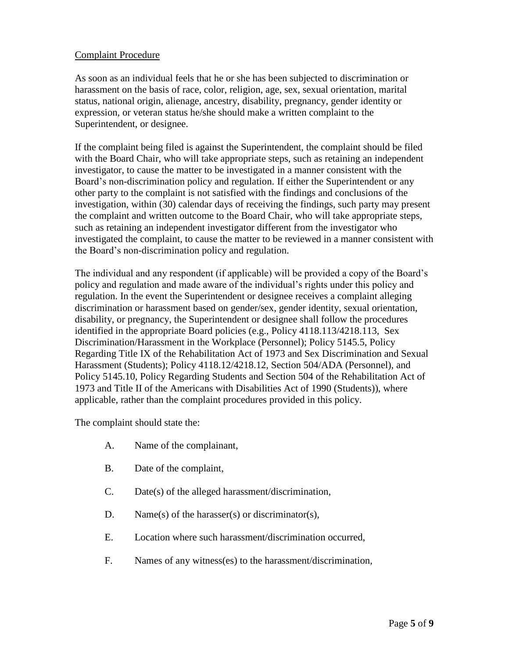#### Complaint Procedure

As soon as an individual feels that he or she has been subjected to discrimination or harassment on the basis of race, color, religion, age, sex, sexual orientation, marital status, national origin, alienage, ancestry, disability, pregnancy, gender identity or expression, or veteran status he/she should make a written complaint to the Superintendent, or designee.

If the complaint being filed is against the Superintendent, the complaint should be filed with the Board Chair, who will take appropriate steps, such as retaining an independent investigator, to cause the matter to be investigated in a manner consistent with the Board's non-discrimination policy and regulation. If either the Superintendent or any other party to the complaint is not satisfied with the findings and conclusions of the investigation, within (30) calendar days of receiving the findings, such party may present the complaint and written outcome to the Board Chair, who will take appropriate steps, such as retaining an independent investigator different from the investigator who investigated the complaint, to cause the matter to be reviewed in a manner consistent with the Board's non-discrimination policy and regulation.

The individual and any respondent (if applicable) will be provided a copy of the Board's policy and regulation and made aware of the individual's rights under this policy and regulation. In the event the Superintendent or designee receives a complaint alleging discrimination or harassment based on gender/sex, gender identity, sexual orientation, disability, or pregnancy, the Superintendent or designee shall follow the procedures identified in the appropriate Board policies (e.g., Policy 4118.113/4218.113, Sex Discrimination/Harassment in the Workplace (Personnel); Policy 5145.5, Policy Regarding Title IX of the Rehabilitation Act of 1973 and Sex Discrimination and Sexual Harassment (Students); Policy 4118.12/4218.12, Section 504/ADA (Personnel), and Policy 5145.10, Policy Regarding Students and Section 504 of the Rehabilitation Act of 1973 and Title II of the Americans with Disabilities Act of 1990 (Students)), where applicable, rather than the complaint procedures provided in this policy.

The complaint should state the:

- A. Name of the complainant,
- B. Date of the complaint,
- C. Date(s) of the alleged harassment/discrimination,
- D. Name(s) of the harasser(s) or discriminator(s),
- E. Location where such harassment/discrimination occurred,
- F. Names of any witness(es) to the harassment/discrimination,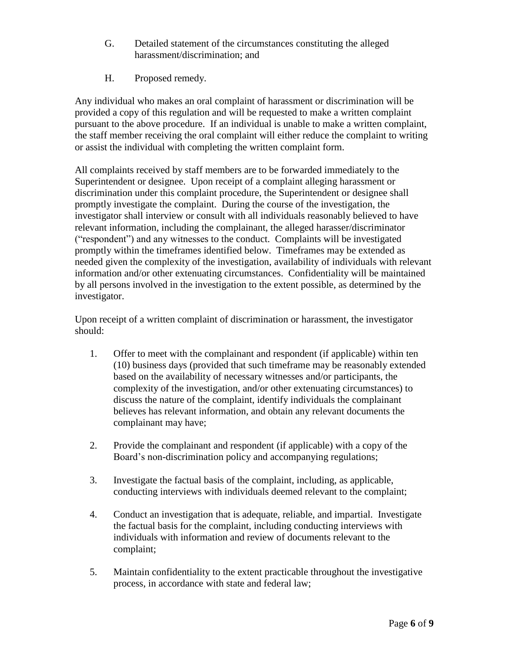- G. Detailed statement of the circumstances constituting the alleged harassment/discrimination; and
- H. Proposed remedy.

Any individual who makes an oral complaint of harassment or discrimination will be provided a copy of this regulation and will be requested to make a written complaint pursuant to the above procedure. If an individual is unable to make a written complaint, the staff member receiving the oral complaint will either reduce the complaint to writing or assist the individual with completing the written complaint form.

All complaints received by staff members are to be forwarded immediately to the Superintendent or designee. Upon receipt of a complaint alleging harassment or discrimination under this complaint procedure, the Superintendent or designee shall promptly investigate the complaint. During the course of the investigation, the investigator shall interview or consult with all individuals reasonably believed to have relevant information, including the complainant, the alleged harasser/discriminator ("respondent") and any witnesses to the conduct. Complaints will be investigated promptly within the timeframes identified below. Timeframes may be extended as needed given the complexity of the investigation, availability of individuals with relevant information and/or other extenuating circumstances. Confidentiality will be maintained by all persons involved in the investigation to the extent possible, as determined by the investigator.

Upon receipt of a written complaint of discrimination or harassment, the investigator should:

- 1. Offer to meet with the complainant and respondent (if applicable) within ten (10) business days (provided that such timeframe may be reasonably extended based on the availability of necessary witnesses and/or participants, the complexity of the investigation, and/or other extenuating circumstances) to discuss the nature of the complaint, identify individuals the complainant believes has relevant information, and obtain any relevant documents the complainant may have;
- 2. Provide the complainant and respondent (if applicable) with a copy of the Board's non-discrimination policy and accompanying regulations;
- 3. Investigate the factual basis of the complaint, including, as applicable, conducting interviews with individuals deemed relevant to the complaint;
- 4. Conduct an investigation that is adequate, reliable, and impartial. Investigate the factual basis for the complaint, including conducting interviews with individuals with information and review of documents relevant to the complaint;
- 5. Maintain confidentiality to the extent practicable throughout the investigative process, in accordance with state and federal law;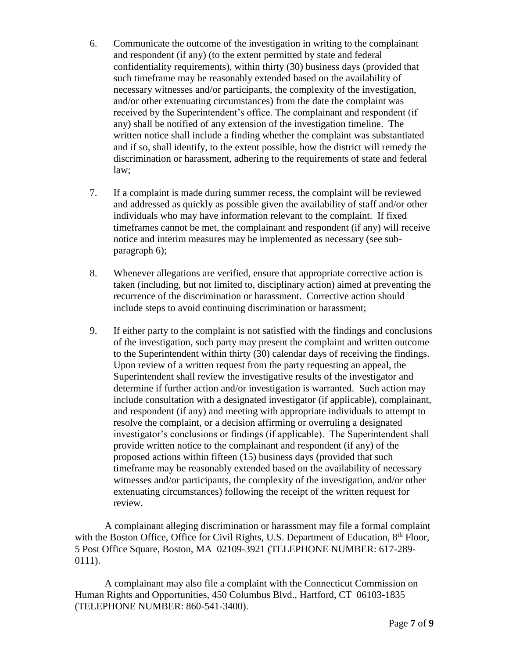- 6. Communicate the outcome of the investigation in writing to the complainant and respondent (if any) (to the extent permitted by state and federal confidentiality requirements), within thirty (30) business days (provided that such timeframe may be reasonably extended based on the availability of necessary witnesses and/or participants, the complexity of the investigation, and/or other extenuating circumstances) from the date the complaint was received by the Superintendent's office. The complainant and respondent (if any) shall be notified of any extension of the investigation timeline. The written notice shall include a finding whether the complaint was substantiated and if so, shall identify, to the extent possible, how the district will remedy the discrimination or harassment, adhering to the requirements of state and federal law;
- 7. If a complaint is made during summer recess, the complaint will be reviewed and addressed as quickly as possible given the availability of staff and/or other individuals who may have information relevant to the complaint. If fixed timeframes cannot be met, the complainant and respondent (if any) will receive notice and interim measures may be implemented as necessary (see subparagraph 6);
- 8. Whenever allegations are verified, ensure that appropriate corrective action is taken (including, but not limited to, disciplinary action) aimed at preventing the recurrence of the discrimination or harassment. Corrective action should include steps to avoid continuing discrimination or harassment;
- 9. If either party to the complaint is not satisfied with the findings and conclusions of the investigation, such party may present the complaint and written outcome to the Superintendent within thirty (30) calendar days of receiving the findings. Upon review of a written request from the party requesting an appeal, the Superintendent shall review the investigative results of the investigator and determine if further action and/or investigation is warranted. Such action may include consultation with a designated investigator (if applicable), complainant, and respondent (if any) and meeting with appropriate individuals to attempt to resolve the complaint, or a decision affirming or overruling a designated investigator's conclusions or findings (if applicable). The Superintendent shall provide written notice to the complainant and respondent (if any) of the proposed actions within fifteen (15) business days (provided that such timeframe may be reasonably extended based on the availability of necessary witnesses and/or participants, the complexity of the investigation, and/or other extenuating circumstances) following the receipt of the written request for review.

A complainant alleging discrimination or harassment may file a formal complaint with the Boston Office, Office for Civil Rights, U.S. Department of Education, 8<sup>th</sup> Floor, 5 Post Office Square, Boston, MA 02109-3921 (TELEPHONE NUMBER: 617-289- 0111).

A complainant may also file a complaint with the Connecticut Commission on Human Rights and Opportunities, 450 Columbus Blvd., Hartford, CT 06103-1835 (TELEPHONE NUMBER: 860-541-3400).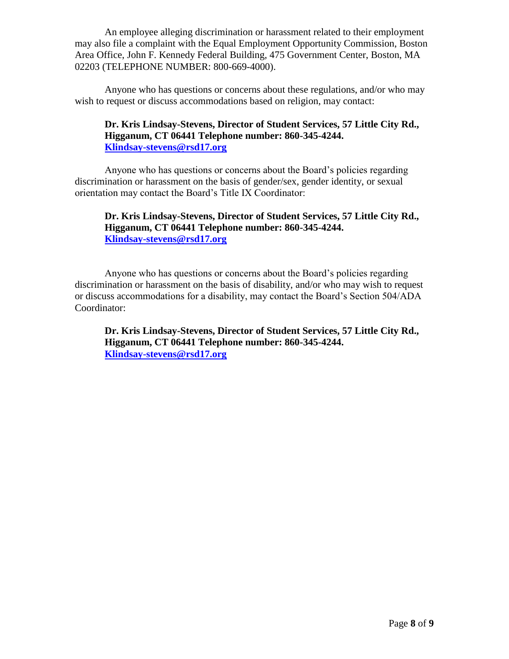An employee alleging discrimination or harassment related to their employment may also file a complaint with the Equal Employment Opportunity Commission, Boston Area Office, John F. Kennedy Federal Building, 475 Government Center, Boston, MA 02203 (TELEPHONE NUMBER: 800-669-4000).

Anyone who has questions or concerns about these regulations, and/or who may wish to request or discuss accommodations based on religion, may contact:

### **Dr. Kris Lindsay-Stevens, Director of Student Services, 57 Little City Rd., Higganum, CT 06441 Telephone number: 860-345-4244. [Klindsay-stevens@rsd17.org](mailto:Klindsay-stevens@rsd17.org)**

Anyone who has questions or concerns about the Board's policies regarding discrimination or harassment on the basis of gender/sex, gender identity, or sexual orientation may contact the Board's Title IX Coordinator:

### **Dr. Kris Lindsay-Stevens, Director of Student Services, 57 Little City Rd., Higganum, CT 06441 Telephone number: 860-345-4244. [Klindsay-stevens@rsd17.org](mailto:Klindsay-stevens@rsd17.org)**

Anyone who has questions or concerns about the Board's policies regarding discrimination or harassment on the basis of disability, and/or who may wish to request or discuss accommodations for a disability, may contact the Board's Section 504/ADA Coordinator:

**Dr. Kris Lindsay-Stevens, Director of Student Services, 57 Little City Rd., Higganum, CT 06441 Telephone number: 860-345-4244. [Klindsay-stevens@rsd17.org](mailto:Klindsay-stevens@rsd17.org)**